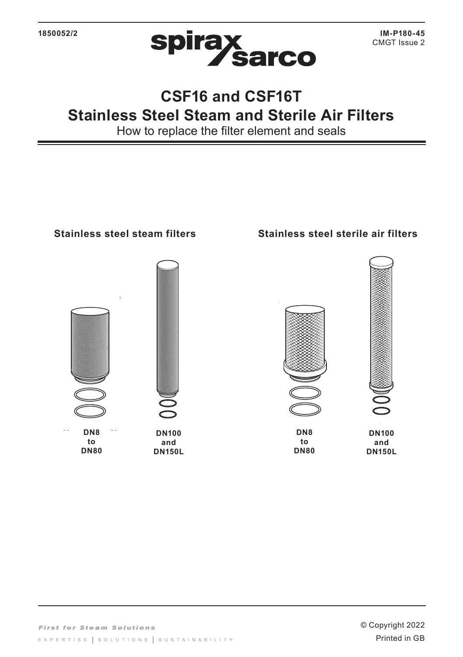

## **CSF16 and CSF16T Stainless Steel Steam and Sterile Air Filters**

How to replace the filter element and seals

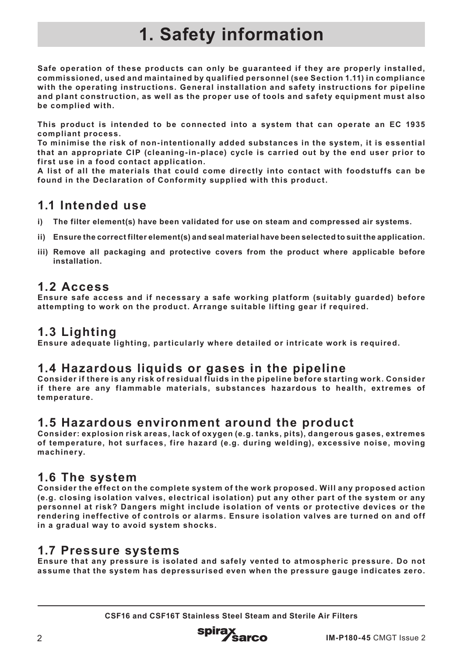# **1. Safety information**

**Safe operation of these products can only be guaranteed if they are properly installed, commissioned, used and maintained by qualified personnel (see Section 1.11) in compliance with the operating instructions. General installation and safety instructions for pipeline and plant construction, as well as the proper use of tools and safety equipment must also be complied with.**

**This product is intended to be connected into a system that can operate an EC 1935 compliant process.**

**To minimise the risk of non-intentionally added substances in the system, it is essential that an appropriate CIP (cleaning-in-place) cycle is carried out by the end user prior to first use in a food contact application.**

**A list of all the materials that could come directly into contact with foodstuffs can be found in the Declaration of Conformity supplied with this product.**

#### **1.1 Intended use**

- **i) The filter element(s) have been validated for use on steam and compressed air systems.**
- **ii) Ensure the correct filter element(s) and seal material have been selected to suit the application.**
- **iii) Remove all packaging and protective covers from the product where applicable before installation.**

#### **1.2 Access**

**Ensure safe access and if necessary a safe working platform (suitably guarded) before attempting to work on the product. Arrange suitable lifting gear if required.**

#### **1.3 Lighting**

**Ensure adequate lighting, particularly where detailed or intricate work is required.**

#### **1.4 Hazardous liquids or gases in the pipeline**

**Consider if there is any risk of residual fluids in the pipeline before starting work. Consider if there are any flammable materials, substances hazardous to health, extremes of temperature.**

#### **1.5 Hazardous environment around the product**

**Consider: explosion risk areas, lack of oxygen (e.g. tanks, pits), dangerous gases, extremes of temperature, hot surfaces, fire hazard (e.g. during welding), excessive noise, moving machinery.**

#### **1.6 The system**

**Consider the effect on the complete system of the work proposed. Will any proposed action (e.g. closing isolation valves, electrical isolation) put any other part of the system or any personnel at risk? Dangers might include isolation of vents or protective devices or the rendering ineffective of controls or alarms. Ensure isolation valves are turned on and off in a gradual way to avoid system shocks.**

#### **1.7 Pressure systems**

**Ensure that any pressure is isolated and safely vented to atmospheric pressure. Do not assume that the system has depressurised even when the pressure gauge indicates zero.**

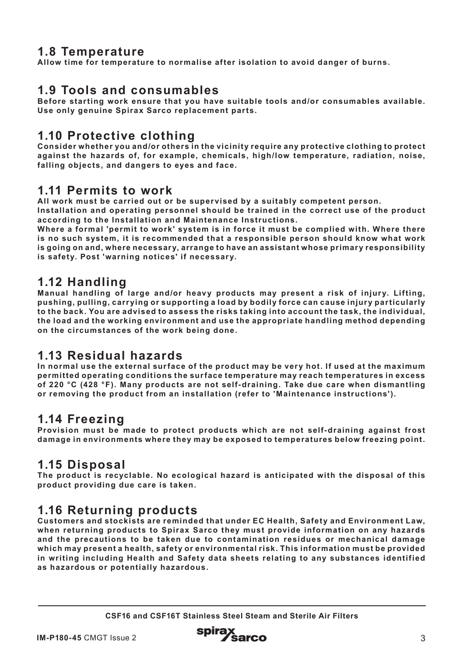#### **1.8 Temperature**

**Allow time for temperature to normalise after isolation to avoid danger of burns.**

### **1.9 Tools and consumables**

**Before starting work ensure that you have suitable tools and/or consumables available. Use only genuine Spirax Sarco replacement parts.**

#### **1.10 Protective clothing**

**Consider whether you and/or others in the vicinity require any protective clothing to protect against the hazards of, for example, chemicals, high/low temperature, radiation, noise, falling objects, and dangers to eyes and face.**

#### **1.11 Permits to work**

**All work must be carried out or be supervised by a suitably competent person.**

**Installation and operating personnel should be trained in the correct use of the product according to the Installation and Maintenance Instructions.**

**Where a formal 'permit to work' system is in force it must be complied with. Where there is no such system, it is recommended that a responsible person should know what work is going on and, where necessary, arrange to have an assistant whose primary responsibility is safety. Post 'warning notices' if necessary.**

#### **1.12 Handling**

**Manual handling of large and/or heavy products may present a risk of injury. Lifting, pushing, pulling, carrying or supporting a load by bodily force can cause injury particularly to the back. You are advised to assess the risks taking into account the task, the individual, the load and the working environment and use the appropriate handling method depending on the circumstances of the work being done.**

#### **1.13 Residual hazards**

**In normal use the external surface of the product may be very hot. If used at the maximum permitted operating conditions the surface temperature may reach temperatures in excess of 220 °C (428 °F). Many products are not self- draining. Take due care when dismantling or removing the product from an installation (refer to 'Maintenance instructions').**

#### **1.14 Freezing**

**Provision must be made to protect products which are not self- draining against frost damage in environments where they may be exposed to temperatures below freezing point.**

#### **1.15 Disposal**

**The product is recyclable. No ecological hazard is anticipated with the disposal of this product providing due care is taken.** 

#### **1.16 Returning products**

**Customers and stockists are reminded that under EC Health, Safety and Environment Law, when returning products to Spirax Sarco they must provide information on any hazards and the precautions to be taken due to contamination residues or mechanical damage which may present a health, safety or environmental risk. This information must be provided in writing including Health and Safety data sheets relating to any substances identified as hazardous or potentially hazardous.**

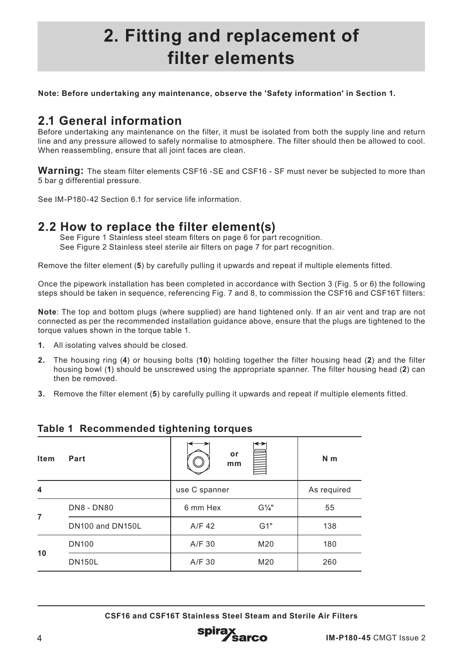## **2. Fitting and replacement of filter elements**

**Note: Before undertaking any maintenance, observe the 'Safety information' in Section 1.**

### **2.1 General information**

Before undertaking any maintenance on the filter, it must be isolated from both the supply line and return line and any pressure allowed to safely normalise to atmosphere. The filter should then be allowed to cool. When reassembling, ensure that all joint faces are clean.

**Warning:** The steam filter elements CSF16 -SE and CSF16 - SF must never be subjected to more than 5 bar g differential pressure.

See IM-P180-42 Section 6.1 for service life information.

#### **2.2 How to replace the filter element(s)**

See Figure 1 Stainless steel steam filters on page 6 for part recognition. See Figure 2 Stainless steel sterile air filters on page 7 for part recognition.

Remove the filter element (**5**) by carefully pulling it upwards and repeat if multiple elements fitted.

Once the pipework installation has been completed in accordance with Section 3 (Fig. 5 or 6) the following steps should be taken in sequence, referencing Fig. 7 and 8, to commission the CSF16 and CSF16T filters:

Note: The top and bottom plugs (where supplied) are hand tightened only. If an air vent and trap are not connected as per the recommended installation guidance above, ensure that the plugs are tightened to the torque values shown in the torque table 1.

- **1.** All isolating valves should be closed.
- **2.** The housing ring (**4**) or housing bolts (**10**) holding together the filter housing head (**2**) and the filter housing bowl (**1**) should be unscrewed using the appropriate spanner. The filter housing head (**2**) can then be removed.
- **3.** Remove the filter element (**5**) by carefully pulling it upwards and repeat if multiple elements fitted.

| <b>Item</b> | Part              | or<br>mm |                  | N <sub>m</sub> |
|-------------|-------------------|----------|------------------|----------------|
| 4           | use C spanner     |          | As required      |                |
| 7           | <b>DN8 - DN80</b> | 6 mm Hex | $G\frac{1}{4}$ " | 55             |
|             | DN100 and DN150L  | A/F 42   | G1"              | 138            |
| 10          | <b>DN100</b>      | A/F 30   | M20              | 180            |
|             | <b>DN150L</b>     | A/F 30   | M20              | 260            |

#### **Table 1 Recommended tightening torques**

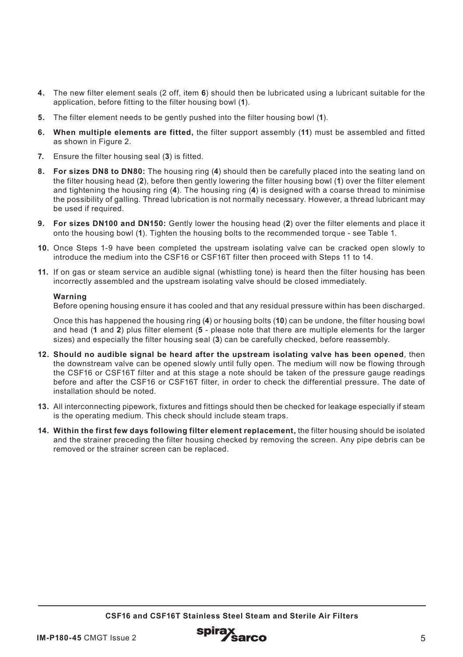- **4.** The new filter element seals (2 off, item **6**) should then be lubricated using a lubricant suitable for the application, before fitting to the filter housing bowl (**1**).
- **5.** The filter element needs to be gently pushed into the filter housing bowl (**1**).
- **6. When multiple elements are fitted,** the filter support assembly (**11**) must be assembled and fitted as shown in Figure 2.
- **7.** Ensure the filter housing seal (**3**) is fitted.
- **8. For sizes DN8 to DN80:** The housing ring (**4**) should then be carefully placed into the seating land on the filter housing head (**2**), before then gently lowering the filter housing bowl (**1**) over the filter element and tightening the housing ring (**4**). The housing ring (**4**) is designed with a coarse thread to minimise the possibility of galling. Thread lubrication is not normally necessary. However, a thread lubricant may be used if required.
- **9. For sizes DN100 and DN150:** Gently lower the housing head (**2**) over the filter elements and place it onto the housing bowl (**1**). Tighten the housing bolts to the recommended torque - see Table 1.
- **10.** Once Steps 1-9 have been completed the upstream isolating valve can be cracked open slowly to introduce the medium into the CSF16 or CSF16T filter then proceed with Steps 11 to 14.
- **11.** If on gas or steam service an audible signal (whistling tone) is heard then the filter housing has been incorrectly assembled and the upstream isolating valve should be closed immediately.

#### **Warning**

Before opening housing ensure it has cooled and that any residual pressure within has been discharged.

Once this has happened the housing ring (**4**) or housing bolts (**10**) can be undone, the filter housing bowl and head (**1** and **2**) plus filter element (**5** - please note that there are multiple elements for the larger sizes) and especially the filter housing seal (**3**) can be carefully checked, before reassembly.

- **12. Should no audible signal be heard after the upstream isolating valve has been opened**, then the downstream valve can be opened slowly until fully open. The medium will now be flowing through the CSF16 or CSF16T filter and at this stage a note should be taken of the pressure gauge readings before and after the CSF16 or CSF16T filter, in order to check the differential pressure. The date of installation should be noted.
- **13.** All interconnecting pipework, fixtures and fittings should then be checked for leakage especially if steam is the operating medium. This check should include steam traps.
- **14. Within the first few days following filter element replacement,** the filter housing should be isolated and the strainer preceding the filter housing checked by removing the screen. Any pipe debris can be removed or the strainer screen can be replaced.

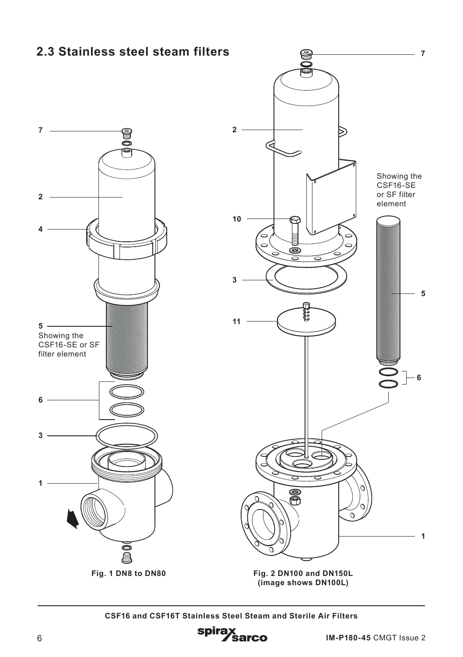### **2.3 Stainless steel steam filters**





**(image shows DN100L)**

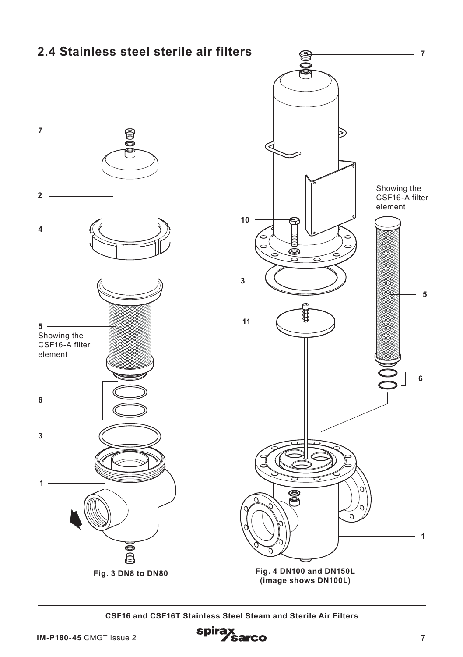